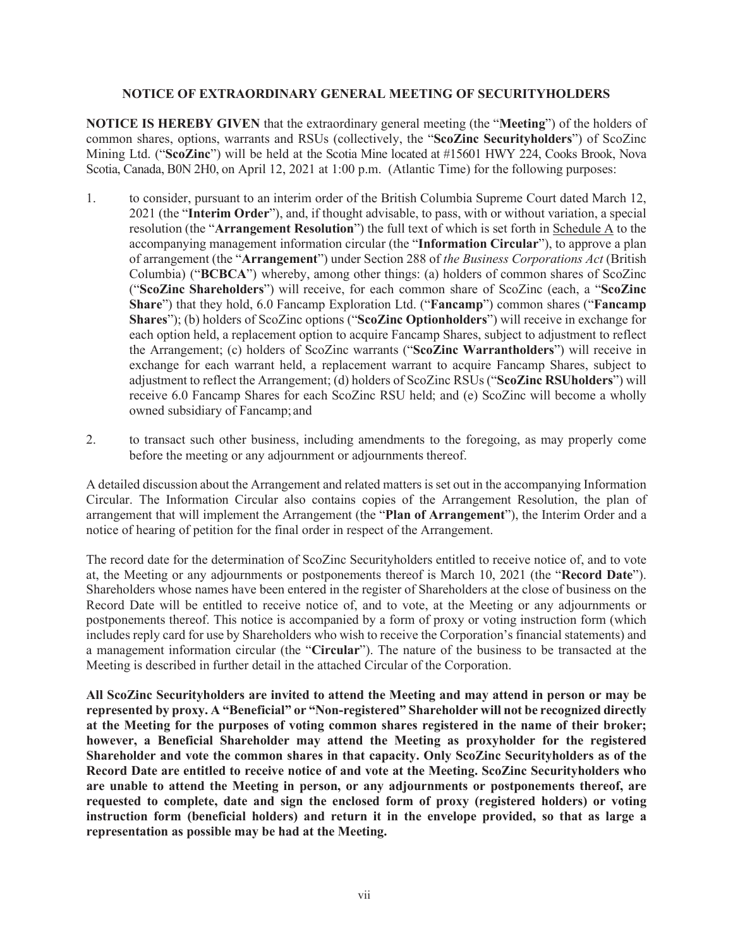## **NOTICE OF EXTRAORDINARY GENERAL MEETING OF SECURITYHOLDERS**

**NOTICE IS HEREBY GIVEN** that the extraordinary general meeting (the "**Meeting**") of the holders of common shares, options, warrants and RSUs (collectively, the "**ScoZinc Securityholders**") of ScoZinc Mining Ltd. ("**ScoZinc**") will be held at the Scotia Mine located at #15601 HWY 224, Cooks Brook, Nova Scotia, Canada, B0N 2H0, on April 12, 2021 at 1:00 p.m. (Atlantic Time) for the following purposes:

- 1. to consider, pursuant to an interim order of the British Columbia Supreme Court dated March 12, 2021 (the "**Interim Order**"), and, if thought advisable, to pass, with or without variation, a special resolution (the "**Arrangement Resolution**") the full text of which is set forth in Schedule A to the accompanying management information circular (the "**Information Circular**"), to approve a plan of arrangement (the "**Arrangement**") under Section 288 of *the Business Corporations Act* (British Columbia) ("**BCBCA**") whereby, among other things: (a) holders of common shares of ScoZinc ("**ScoZinc Shareholders**") will receive, for each common share of ScoZinc (each, a "**ScoZinc Share**") that they hold, 6.0 Fancamp Exploration Ltd. ("**Fancamp**") common shares ("**Fancamp Shares**"); (b) holders of ScoZinc options ("**ScoZinc Optionholders**") will receive in exchange for each option held, a replacement option to acquire Fancamp Shares, subject to adjustment to reflect the Arrangement; (c) holders of ScoZinc warrants ("**ScoZinc Warrantholders**") will receive in exchange for each warrant held, a replacement warrant to acquire Fancamp Shares, subject to adjustment to reflect the Arrangement; (d) holders of ScoZinc RSUs ("**ScoZinc RSUholders**") will receive 6.0 Fancamp Shares for each ScoZinc RSU held; and (e) ScoZinc will become a wholly owned subsidiary of Fancamp; and
- 2. to transact such other business, including amendments to the foregoing, as may properly come before the meeting or any adjournment or adjournments thereof.

A detailed discussion about the Arrangement and related matters is set out in the accompanying Information Circular. The Information Circular also contains copies of the Arrangement Resolution, the plan of arrangement that will implement the Arrangement (the "**Plan of Arrangement**"), the Interim Order and a notice of hearing of petition for the final order in respect of the Arrangement.

The record date for the determination of ScoZinc Securityholders entitled to receive notice of, and to vote at, the Meeting or any adjournments or postponements thereof is March 10, 2021 (the "**Record Date**"). Shareholders whose names have been entered in the register of Shareholders at the close of business on the Record Date will be entitled to receive notice of, and to vote, at the Meeting or any adjournments or postponements thereof. This notice is accompanied by a form of proxy or voting instruction form (which includes reply card for use by Shareholders who wish to receive the Corporation's financial statements) and a management information circular (the "**Circular**"). The nature of the business to be transacted at the Meeting is described in further detail in the attached Circular of the Corporation.

**All ScoZinc Securityholders are invited to attend the Meeting and may attend in person or may be represented by proxy. A "Beneficial" or "Non-registered" Shareholder will not be recognized directly at the Meeting for the purposes of voting common shares registered in the name of their broker; however, a Beneficial Shareholder may attend the Meeting as proxyholder for the registered Shareholder and vote the common shares in that capacity. Only ScoZinc Securityholders as of the Record Date are entitled to receive notice of and vote at the Meeting. ScoZinc Securityholders who are unable to attend the Meeting in person, or any adjournments or postponements thereof, are requested to complete, date and sign the enclosed form of proxy (registered holders) or voting instruction form (beneficial holders) and return it in the envelope provided, so that as large a representation as possible may be had at the Meeting.**